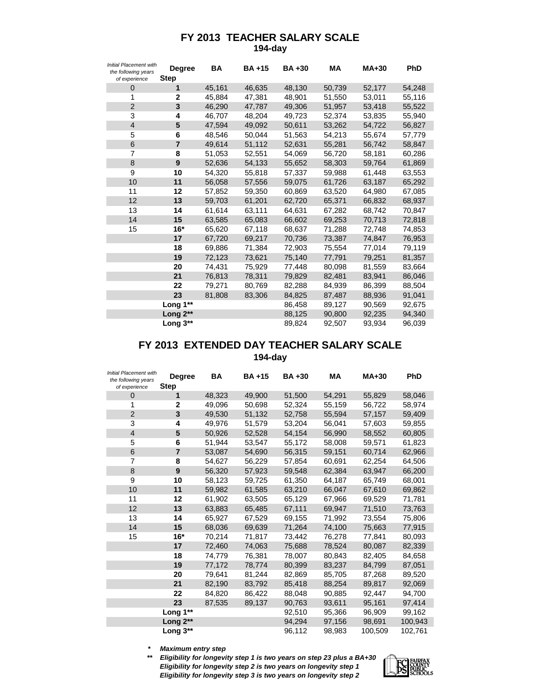## **FY 2013 TEACHER SALARY SCALE 194-day**

| <b>Initial Placement with</b><br>the following years<br>of experience | <b>Degree</b><br><b>Step</b> | <b>BA</b> | <b>BA+15</b> | <b>BA+30</b> | <b>MA</b> | <b>MA+30</b> | <b>PhD</b> |
|-----------------------------------------------------------------------|------------------------------|-----------|--------------|--------------|-----------|--------------|------------|
| 0                                                                     | 1                            | 45,161    | 46,635       | 48,130       | 50,739    | 52,177       | 54,248     |
| 1                                                                     | 2                            | 45,884    | 47,381       | 48,901       | 51,550    | 53,011       | 55,116     |
| $\overline{2}$                                                        | 3                            | 46,290    | 47,787       | 49,306       | 51,957    | 53,418       | 55,522     |
| 3                                                                     | 4                            | 46,707    | 48,204       | 49,723       | 52,374    | 53,835       | 55,940     |
| 4                                                                     | 5                            | 47,594    | 49,092       | 50,611       | 53,262    | 54,722       | 56,827     |
| 5                                                                     | 6                            | 48,546    | 50,044       | 51,563       | 54,213    | 55,674       | 57,779     |
| 6                                                                     | $\overline{7}$               | 49,614    | 51,112       | 52,631       | 55,281    | 56,742       | 58,847     |
| 7                                                                     | 8                            | 51,053    | 52,551       | 54,069       | 56,720    | 58,181       | 60,286     |
| 8                                                                     | 9                            | 52,636    | 54,133       | 55,652       | 58,303    | 59,764       | 61,869     |
| 9                                                                     | 10                           | 54,320    | 55,818       | 57,337       | 59,988    | 61,448       | 63,553     |
| 10                                                                    | 11                           | 56,058    | 57,556       | 59,075       | 61,726    | 63,187       | 65,292     |
| 11                                                                    | 12                           | 57,852    | 59,350       | 60,869       | 63,520    | 64,980       | 67,085     |
| 12                                                                    | 13                           | 59,703    | 61,201       | 62,720       | 65,371    | 66,832       | 68,937     |
| 13                                                                    | 14                           | 61,614    | 63,111       | 64,631       | 67,282    | 68,742       | 70,847     |
| 14                                                                    | 15                           | 63,585    | 65,083       | 66,602       | 69,253    | 70,713       | 72,818     |
| 15                                                                    | $16*$                        | 65,620    | 67,118       | 68,637       | 71,288    | 72,748       | 74,853     |
|                                                                       | 17                           | 67,720    | 69,217       | 70,736       | 73,387    | 74,847       | 76,953     |
|                                                                       | 18                           | 69,886    | 71,384       | 72,903       | 75,554    | 77,014       | 79,119     |
|                                                                       | 19                           | 72,123    | 73.621       | 75,140       | 77,791    | 79,251       | 81,357     |
|                                                                       | 20                           | 74,431    | 75,929       | 77,448       | 80,098    | 81,559       | 83,664     |
|                                                                       | 21                           | 76,813    | 78,311       | 79,829       | 82,481    | 83,941       | 86,046     |
|                                                                       | 22                           | 79,271    | 80,769       | 82,288       | 84,939    | 86,399       | 88,504     |
|                                                                       | 23                           | 81,808    | 83,306       | 84,825       | 87,487    | 88,936       | 91,041     |
|                                                                       | Long 1**                     |           |              | 86,458       | 89,127    | 90,569       | 92,675     |
|                                                                       | Long 2**                     |           |              | 88,125       | 90,800    | 92,235       | 94,340     |
|                                                                       | Long 3**                     |           |              | 89,824       | 92,507    | 93,934       | 96,039     |

## **194-day FY 2013 EXTENDED DAY TEACHER SALARY SCALE**

| <b>Initial Placement with</b><br>the following years<br>of experience | Degree<br><b>Step</b> | <b>BA</b> | <b>BA+15</b> | <b>BA+30</b> | <b>MA</b> | $MA+30$ | PhD     |
|-----------------------------------------------------------------------|-----------------------|-----------|--------------|--------------|-----------|---------|---------|
| $\overline{0}$                                                        | 1                     | 48,323    | 49,900       | 51,500       | 54,291    | 55,829  | 58,046  |
| 1                                                                     | 2                     | 49,096    | 50,698       | 52,324       | 55,159    | 56,722  | 58,974  |
| 2                                                                     | 3                     | 49,530    | 51,132       | 52,758       | 55,594    | 57,157  | 59,409  |
| 3                                                                     | 4                     | 49,976    | 51,579       | 53,204       | 56,041    | 57,603  | 59,855  |
| $\overline{4}$                                                        | 5                     | 50.926    | 52.528       | 54,154       | 56,990    | 58,552  | 60,805  |
| 5                                                                     | 6                     | 51,944    | 53,547       | 55,172       | 58,008    | 59,571  | 61,823  |
| 6                                                                     | $\overline{7}$        | 53,087    | 54,690       | 56,315       | 59,151    | 60,714  | 62,966  |
| 7                                                                     | 8                     | 54,627    | 56,229       | 57,854       | 60,691    | 62,254  | 64,506  |
| 8                                                                     | 9                     | 56,320    | 57,923       | 59,548       | 62,384    | 63,947  | 66,200  |
| 9                                                                     | 10                    | 58,123    | 59,725       | 61,350       | 64,187    | 65,749  | 68,001  |
| 10                                                                    | 11                    | 59,982    | 61,585       | 63,210       | 66,047    | 67,610  | 69,862  |
| 11                                                                    | 12                    | 61,902    | 63,505       | 65,129       | 67,966    | 69,529  | 71,781  |
| 12                                                                    | 13                    | 63,883    | 65,485       | 67,111       | 69,947    | 71,510  | 73,763  |
| 13                                                                    | 14                    | 65,927    | 67,529       | 69,155       | 71,992    | 73,554  | 75,806  |
| 14                                                                    | 15                    | 68,036    | 69.639       | 71,264       | 74,100    | 75,663  | 77,915  |
| 15                                                                    | 16*                   | 70,214    | 71,817       | 73,442       | 76,278    | 77,841  | 80,093  |
|                                                                       | 17                    | 72,460    | 74,063       | 75,688       | 78,524    | 80,087  | 82,339  |
|                                                                       | 18                    | 74,779    | 76,381       | 78,007       | 80,843    | 82,405  | 84,658  |
|                                                                       | 19                    | 77,172    | 78,774       | 80,399       | 83,237    | 84,799  | 87,051  |
|                                                                       | 20                    | 79,641    | 81,244       | 82,869       | 85,705    | 87,268  | 89,520  |
|                                                                       | 21                    | 82,190    | 83,792       | 85,418       | 88,254    | 89,817  | 92,069  |
|                                                                       | 22                    | 84,820    | 86,422       | 88,048       | 90,885    | 92,447  | 94,700  |
|                                                                       | 23                    | 87,535    | 89,137       | 90,763       | 93,611    | 95,161  | 97,414  |
|                                                                       | Long 1**              |           |              | 92,510       | 95,366    | 96,909  | 99,162  |
|                                                                       | Long 2**              |           |              | 94,294       | 97,156    | 98,691  | 100,943 |
|                                                                       | Long 3**              |           |              | 96,112       | 98,983    | 100,509 | 102,761 |

*\* Maximum entry step*

*\*\* Eligibility for longevity step 1 is two years on step 23 plus a BA+30 Eligibility for longevity step 2 is two years on longevity step 1 Eligibility for longevity step 3 is two years on longevity step 2*